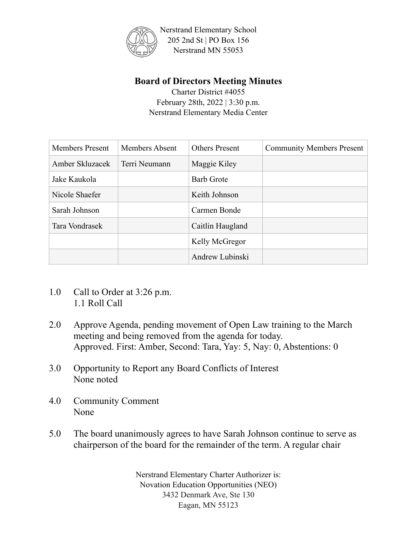

Nerstrand Elementary School 205 2nd St | PO Box 156 Nerstrand MN 55053

## **Board of Directors Meeting Minutes**

Charter District #4055 February 28th, 2022 | 3:30 p.m. Nerstrand Elementary Media Center

| <b>Members Present</b> | <b>Members Absent</b> | <b>Others Present</b> | <b>Community Members Present</b> |
|------------------------|-----------------------|-----------------------|----------------------------------|
| Amber Skluzacek        | Terri Neumann         | Maggie Kiley          |                                  |
| Jake Kaukola           |                       | <b>Barb Grote</b>     |                                  |
| Nicole Shaefer         |                       | Keith Johnson         |                                  |
| Sarah Johnson          |                       | Carmen Bonde          |                                  |
| Tara Vondrasek         |                       | Caitlin Haugland      |                                  |
|                        |                       | Kelly McGregor        |                                  |
|                        |                       | Andrew Lubinski       |                                  |

- 1.0 Call to Order at 3:26 p.m. 1.1 Roll Call
- 2.0 Approve Agenda, pending movement of Open Law training to the March meeting and being removed from the agenda for today. Approved. First: Amber, Second: Tara, Yay: 5, Nay: 0, Abstentions: 0
- 3.0 Opportunity to Report any Board Conflicts of Interest None noted
- 4.0 Community Comment None
- 5.0 The board unanimously agrees to have Sarah Johnson continue to serve as chairperson of the board for the remainder of the term. A regular chair

Nerstrand Elementary Charter Authorizer is: Novation Education Opportunities (NEO) 3432 Denmark Ave, Ste 130 Eagan, MN 55123